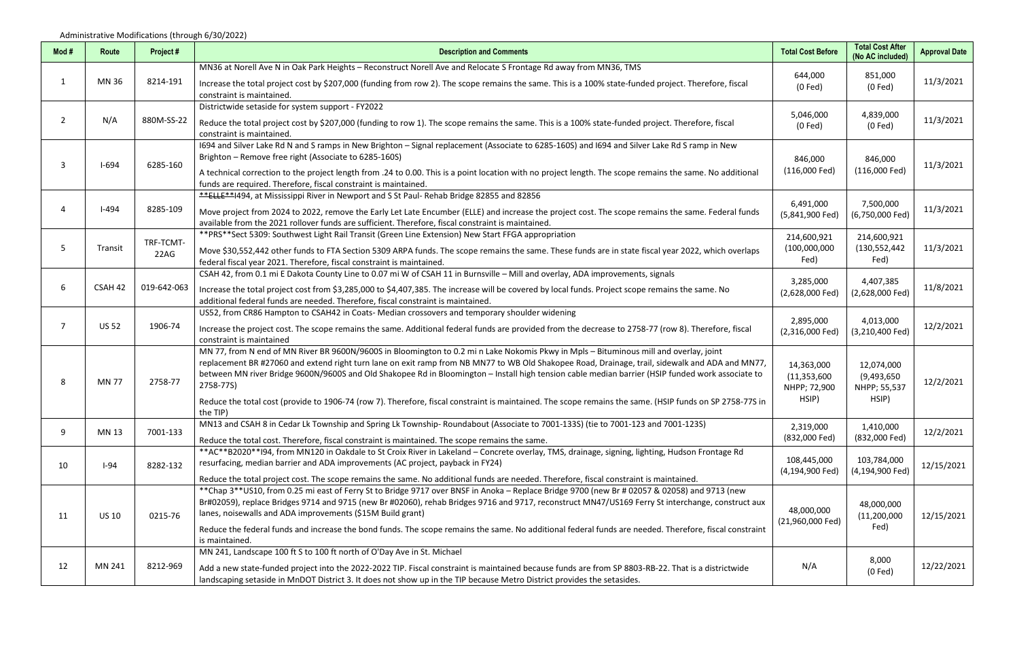| Mod# | Route        | Project#          | <b>Description and Comments</b>                                                                                                                                                                                                                                                | <b>Total Cost Before</b>       | <b>Total Cost After</b><br>(No AC included)        | <b>Approval Date</b>                                                                                                |
|------|--------------|-------------------|--------------------------------------------------------------------------------------------------------------------------------------------------------------------------------------------------------------------------------------------------------------------------------|--------------------------------|----------------------------------------------------|---------------------------------------------------------------------------------------------------------------------|
| -1   | MN 36        |                   | MN36 at Norell Ave N in Oak Park Heights - Reconstruct Norell Ave and Relocate S Frontage Rd away from MN36, TMS                                                                                                                                                               |                                |                                                    |                                                                                                                     |
|      |              | 8214-191          | Increase the total project cost by \$207,000 (funding from row 2). The scope remains the same. This is a 100% state-funded project. Therefore, fiscal<br>constraint is maintained.                                                                                             | 644,000<br>$(0$ Fed $)$        | 851,000<br>$(0$ Fed $)$                            | 11/3/2021                                                                                                           |
|      |              |                   | Districtwide setaside for system support - FY2022                                                                                                                                                                                                                              |                                |                                                    |                                                                                                                     |
| 2    | N/A          | 880M-SS-22        | Reduce the total project cost by \$207,000 (funding to row 1). The scope remains the same. This is a 100% state-funded project. Therefore, fiscal<br>constraint is maintained.                                                                                                 | 5,046,000<br>$(0$ Fed $)$      | 4,839,000<br>$(0$ Fed $)$                          | 11/3/2021                                                                                                           |
|      |              |                   | 1694 and Silver Lake Rd N and S ramps in New Brighton - Signal replacement (Associate to 6285-160S) and 1694 and Silver Lake Rd S ramp in New                                                                                                                                  |                                |                                                    |                                                                                                                     |
|      | $I-694$      | 6285-160          | Brighton - Remove free right (Associate to 6285-160S)                                                                                                                                                                                                                          | 846,000                        | 846,000                                            |                                                                                                                     |
|      |              |                   | A technical correction to the project length from .24 to 0.00. This is a point location with no project length. The scope remains the same. No additional<br>funds are required. Therefore, fiscal constraint is maintained.                                                   | $(116,000$ Fed)                | $(116,000$ Fed)                                    |                                                                                                                     |
|      |              |                   | **ELLE**I494, at Mississippi River in Newport and S St Paul- Rehab Bridge 82855 and 82856                                                                                                                                                                                      | 6,491,000                      | 7,500,000                                          | 11/3/2021<br>11/3/2021<br>11/3/2021<br>11/8/2021<br>12/2/2021<br>12/2/2021<br>12/2/2021<br>12/15/2021<br>12/15/2021 |
|      | $I-494$      | 8285-109          | Move project from 2024 to 2022, remove the Early Let Late Encumber (ELLE) and increase the project cost. The scope remains the same. Federal funds<br>available from the 2021 rollover funds are sufficient. Therefore, fiscal constraint is maintained.                       | (5,841,900 Fed)                | (6,750,000 Fed)                                    |                                                                                                                     |
|      |              |                   | **PRS**Sect 5309: Southwest Light Rail Transit (Green Line Extension) New Start FFGA appropriation                                                                                                                                                                             | 214,600,921                    | 214,600,921                                        |                                                                                                                     |
| 5    | Transit      | TRF-TCMT-<br>22AG | Move \$30,552,442 other funds to FTA Section 5309 ARPA funds. The scope remains the same. These funds are in state fiscal year 2022, which overlaps                                                                                                                            | (100,000,000)                  | (130, 552, 442)                                    |                                                                                                                     |
|      |              |                   | federal fiscal year 2021. Therefore, fiscal constraint is maintained.                                                                                                                                                                                                          | Fed)                           | Fed)                                               |                                                                                                                     |
| 6    |              |                   | CSAH 42, from 0.1 mi E Dakota County Line to 0.07 mi W of CSAH 11 in Burnsville - Mill and overlay, ADA improvements, signals                                                                                                                                                  | 3,285,000                      | 4,407,385                                          |                                                                                                                     |
|      | CSAH 42      | 019-642-063       | Increase the total project cost from \$3,285,000 to \$4,407,385. The increase will be covered by local funds. Project scope remains the same. No                                                                                                                               | (2,628,000 Fed)                | (2,628,000 Fed)                                    |                                                                                                                     |
|      |              |                   | additional federal funds are needed. Therefore, fiscal constraint is maintained.                                                                                                                                                                                               |                                |                                                    |                                                                                                                     |
|      |              | 1906-74           | US52, from CR86 Hampton to CSAH42 in Coats- Median crossovers and temporary shoulder widening                                                                                                                                                                                  | 2,895,000                      | 4,013,000                                          |                                                                                                                     |
|      | <b>US 52</b> |                   | Increase the project cost. The scope remains the same. Additional federal funds are provided from the decrease to 2758-77 (row 8). Therefore, fiscal<br>constraint is maintained                                                                                               | (2,316,000 Fed)                | (3,210,400 Fed)                                    |                                                                                                                     |
|      |              |                   | MN 77, from N end of MN River BR 9600N/9600S in Bloomington to 0.2 min Lake Nokomis Pkwy in Mpls - Bituminous mill and overlay, joint                                                                                                                                          |                                |                                                    |                                                                                                                     |
|      | <b>MN77</b>  | 2758-77           | replacement BR #27060 and extend right turn lane on exit ramp from NB MN77 to WB Old Shakopee Road, Drainage, trail, sidewalk and ADA and MN77,                                                                                                                                | 14,363,000                     | 12,074,000<br>(9,493,650)<br>NHPP; 55,537<br>HSIP) |                                                                                                                     |
| 8    |              |                   | between MN river Bridge 9600N/9600S and Old Shakopee Rd in Bloomington - Install high tension cable median barrier (HSIP funded work associate to                                                                                                                              | (11, 353, 600)                 |                                                    |                                                                                                                     |
|      |              |                   | 2758-77S)                                                                                                                                                                                                                                                                      | NHPP; 72,900                   |                                                    |                                                                                                                     |
|      |              |                   | Reduce the total cost (provide to 1906-74 (row 7). Therefore, fiscal constraint is maintained. The scope remains the same. (HSIP funds on SP 2758-77S in                                                                                                                       | HSIP)                          |                                                    |                                                                                                                     |
|      |              |                   | the TIP)<br>MN13 and CSAH 8 in Cedar Lk Township and Spring Lk Township- Roundabout (Associate to 7001-133S) (tie to 7001-123 and 7001-123S)                                                                                                                                   |                                |                                                    |                                                                                                                     |
| 9    | <b>MN13</b>  | 7001-133          | Reduce the total cost. Therefore, fiscal constraint is maintained. The scope remains the same.                                                                                                                                                                                 | 2,319,000<br>(832,000 Fed)     | 1,410,000<br>(832,000 Fed)                         |                                                                                                                     |
|      |              |                   | ** AC**B2020**I94, from MN120 in Oakdale to St Croix River in Lakeland - Concrete overlay, TMS, drainage, signing, lighting, Hudson Frontage Rd                                                                                                                                |                                |                                                    |                                                                                                                     |
| 10   | $I-94$       | 8282-132          | resurfacing, median barrier and ADA improvements (AC project, payback in FY24)                                                                                                                                                                                                 | 108,445,000                    | 103,784,000                                        |                                                                                                                     |
|      |              |                   | Reduce the total project cost. The scope remains the same. No additional funds are needed. Therefore, fiscal constraint is maintained.                                                                                                                                         | (4,194,900 Fed)                | (4,194,900 Fed)                                    |                                                                                                                     |
|      |              |                   | **Chap 3**US10, from 0.25 mi east of Ferry St to Bridge 9717 over BNSF in Anoka - Replace Bridge 9700 (new Br # 02057 & 02058) and 9713 (new                                                                                                                                   |                                |                                                    |                                                                                                                     |
| 11   |              |                   | Br#02059), replace Bridges 9714 and 9715 (new Br #02060), rehab Bridges 9716 and 9717, reconstruct MN47/US169 Ferry St interchange, construct aux                                                                                                                              | 48,000,000<br>(21,960,000 Fed) | 48,000,000                                         |                                                                                                                     |
|      | <b>US 10</b> | 0215-76           | lanes, noisewalls and ADA improvements (\$15M Build grant)                                                                                                                                                                                                                     |                                | (11, 200, 000)                                     |                                                                                                                     |
|      |              |                   | Reduce the federal funds and increase the bond funds. The scope remains the same. No additional federal funds are needed. Therefore, fiscal constraint                                                                                                                         |                                | Fed)                                               |                                                                                                                     |
|      |              |                   | is maintained.<br>MN 241, Landscape 100 ft S to 100 ft north of O'Day Ave in St. Michael                                                                                                                                                                                       |                                |                                                    |                                                                                                                     |
| 12   | MN 241       | 8212-969          |                                                                                                                                                                                                                                                                                | N/A                            | 8,000                                              | 12/22/2021                                                                                                          |
|      |              |                   | Add a new state-funded project into the 2022-2022 TIP. Fiscal constraint is maintained because funds are from SP 8803-RB-22. That is a districtwide<br>landscaping setaside in MnDOT District 3. It does not show up in the TIP because Metro District provides the setasides. |                                | $(0$ Fed $)$                                       |                                                                                                                     |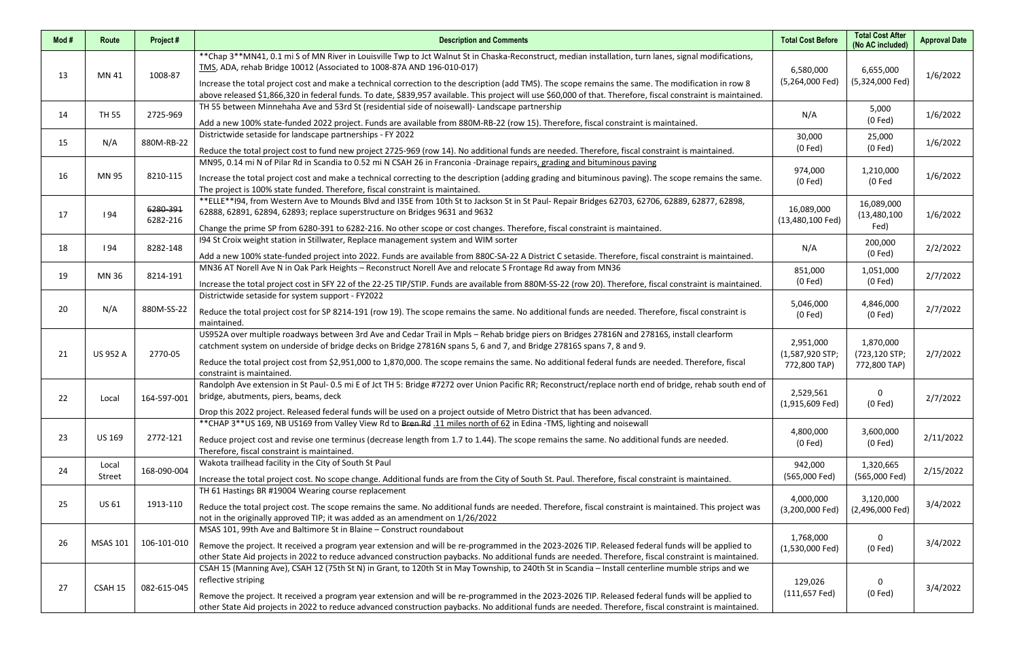| Mod# | Route           | Project#             | <b>Description and Comments</b>                                                                                                                                                                                                                                                                                                                                                                                                                                                                                                                           | <b>Total Cost Before</b>                     | <b>Total Cost After</b><br>(No AC included) | <b>Approval Date</b> |
|------|-----------------|----------------------|-----------------------------------------------------------------------------------------------------------------------------------------------------------------------------------------------------------------------------------------------------------------------------------------------------------------------------------------------------------------------------------------------------------------------------------------------------------------------------------------------------------------------------------------------------------|----------------------------------------------|---------------------------------------------|----------------------|
| 13   | MN 41           | 1008-87              | ** Chap 3** MN41, 0.1 mi S of MN River in Louisville Twp to Jct Walnut St in Chaska-Reconstruct, median installation, turn lanes, signal modifications,<br>TMS, ADA, rehab Bridge 10012 (Associated to 1008-87A AND 196-010-017)<br>Increase the total project cost and make a technical correction to the description (add TMS). The scope remains the same. The modification in row 8<br>above released \$1,866,320 in federal funds. To date, \$839,957 available. This project will use \$60,000 of that. Therefore, fiscal constraint is maintained. | 6,580,000<br>(5,264,000 Fed)                 | 6,655,000<br>(5,324,000 Fed)                | 1/6/2022             |
| 14   | <b>TH 55</b>    | 2725-969             | TH 55 between Minnehaha Ave and 53rd St (residential side of noisewall)- Landscape partnership<br>Add a new 100% state-funded 2022 project. Funds are available from 880M-RB-22 (row 15). Therefore, fiscal constraint is maintained.                                                                                                                                                                                                                                                                                                                     | N/A                                          | 5,000<br>$(0$ Fed $)$                       | 1/6/2022             |
| 15   | N/A             | 880M-RB-22           | Districtwide setaside for landscape partnerships - FY 2022<br>Reduce the total project cost to fund new project 2725-969 (row 14). No additional funds are needed. Therefore, fiscal constraint is maintained.                                                                                                                                                                                                                                                                                                                                            | 30,000<br>$(0$ Fed)                          | 25,000<br>$(0$ Fed $)$                      | 1/6/2022             |
| 16   | MN 95           | 8210-115             | MN95, 0.14 mi N of Pilar Rd in Scandia to 0.52 mi N CSAH 26 in Franconia -Drainage repairs, grading and bituminous paving<br>Increase the total project cost and make a technical correcting to the description (adding grading and bituminous paving). The scope remains the same.<br>The project is 100% state funded. Therefore, fiscal constraint is maintained.                                                                                                                                                                                      | 974,000<br>$(0$ Fed $)$                      | 1,210,000<br>(0 Fed                         | 1/6/2022             |
| 17   | 194             | 6280-391<br>6282-216 | **ELLE**I94, from Western Ave to Mounds Blvd and I35E from 10th St to Jackson St in St Paul- Repair Bridges 62703, 62706, 62889, 62877, 62898,<br>62888, 62891, 62894, 62893; replace superstructure on Bridges 9631 and 9632<br>Change the prime SP from 6280-391 to 6282-216. No other scope or cost changes. Therefore, fiscal constraint is maintained.                                                                                                                                                                                               | 16,089,000<br>$(13,480,100$ Fed)             | 16,089,000<br>(13, 480, 100)<br>Fed)        | 1/6/2022             |
| 18   | 194             | 8282-148             | 194 St Croix weight station in Stillwater, Replace management system and WIM sorter<br>Add a new 100% state-funded project into 2022. Funds are available from 880C-SA-22 A District C setaside. Therefore, fiscal constraint is maintained.                                                                                                                                                                                                                                                                                                              | N/A                                          | 200,000<br>$(0$ Fed $)$                     | 2/2/2022             |
| 19   | MN 36           | 8214-191             | MN36 AT Norell Ave N in Oak Park Heights - Reconstruct Norell Ave and relocate S Frontage Rd away from MN36<br>Increase the total project cost in SFY 22 of the 22-25 TIP/STIP. Funds are available from 880M-SS-22 (row 20). Therefore, fiscal constraint is maintained.                                                                                                                                                                                                                                                                                 | 851,000<br>$(0$ Fed $)$                      | 1,051,000<br>$(0$ Fed $)$                   | 2/7/2022             |
| 20   | N/A             | 880M-SS-22           | Districtwide setaside for system support - FY2022<br>Reduce the total project cost for SP 8214-191 (row 19). The scope remains the same. No additional funds are needed. Therefore, fiscal constraint is<br>maintained.                                                                                                                                                                                                                                                                                                                                   | 5,046,000<br>$(0$ Fed $)$                    | 4,846,000<br>$(0$ Fed $)$                   | 2/7/2022             |
| 21   | <b>US 952 A</b> | 2770-05              | US952A over multiple roadways between 3rd Ave and Cedar Trail in Mpls - Rehab bridge piers on Bridges 27816N and 27816S, install clearform<br>catchment system on underside of bridge decks on Bridge 27816N spans 5, 6 and 7, and Bridge 27816S spans 7, 8 and 9.<br>Reduce the total project cost from \$2,951,000 to 1,870,000. The scope remains the same. No additional federal funds are needed. Therefore, fiscal<br>constraint is maintained.                                                                                                     | 2,951,000<br>(1,587,920 STP;<br>772,800 TAP) | 1,870,000<br>(723,120 STP;<br>772,800 TAP)  | 2/7/2022             |
| 22   | Local           | 164-597-001          | Randolph Ave extension in St Paul- 0.5 mi E of Jct TH 5: Bridge #7272 over Union Pacific RR; Reconstruct/replace north end of bridge, rehab south end of<br>bridge, abutments, piers, beams, deck<br>Drop this 2022 project. Released federal funds will be used on a project outside of Metro District that has been advanced.                                                                                                                                                                                                                           | 2,529,561<br>$(1,915,609$ Fed)               | 0<br>$(0$ Fed $)$                           | 2/7/2022             |
| 23   | <b>US 169</b>   | 2772-121             | ** CHAP 3** US 169, NB US169 from Valley View Rd to Bren Rd .11 miles north of 62 in Edina -TMS, lighting and noisewall<br>Reduce project cost and revise one terminus (decrease length from 1.7 to 1.44). The scope remains the same. No additional funds are needed.<br>Therefore, fiscal constraint is maintained.                                                                                                                                                                                                                                     | 4,800,000<br>$(0$ Fed $)$                    | 3,600,000<br>$(0$ Fed $)$                   | 2/11/2022            |
| 24   | Local<br>Street | 168-090-004          | Wakota trailhead facility in the City of South St Paul<br>Increase the total project cost. No scope change. Additional funds are from the City of South St. Paul. Therefore, fiscal constraint is maintained.                                                                                                                                                                                                                                                                                                                                             | 942,000<br>(565,000 Fed)                     | 1,320,665<br>(565,000 Fed)                  | 2/15/2022            |
| 25   | <b>US 61</b>    | 1913-110             | TH 61 Hastings BR #19004 Wearing course replacement<br>Reduce the total project cost. The scope remains the same. No additional funds are needed. Therefore, fiscal constraint is maintained. This project was<br>not in the originally approved TIP; it was added as an amendment on 1/26/2022                                                                                                                                                                                                                                                           | 4,000,000<br>(3,200,000 Fed)                 | 3,120,000<br>(2,496,000 Fed)                | 3/4/2022             |
| 26   | <b>MSAS 101</b> | 106-101-010          | MSAS 101, 99th Ave and Baltimore St in Blaine - Construct roundabout<br>Remove the project. It received a program year extension and will be re-programmed in the 2023-2026 TIP. Released federal funds will be applied to<br>other State Aid projects in 2022 to reduce advanced construction paybacks. No additional funds are needed. Therefore, fiscal constraint is maintained.                                                                                                                                                                      | 1,768,000<br>(1,530,000 Fed)                 | $\mathbf 0$<br>$(0$ Fed $)$                 | 3/4/2022             |
| 27   | CSAH 15         | 082-615-045          | CSAH 15 (Manning Ave), CSAH 12 (75th St N) in Grant, to 120th St in May Township, to 240th St in Scandia - Install centerline mumble strips and we<br>reflective striping<br>Remove the project. It received a program year extension and will be re-programmed in the 2023-2026 TIP. Released federal funds will be applied to<br>other State Aid projects in 2022 to reduce advanced construction paybacks. No additional funds are needed. Therefore, fiscal constraint is maintained.                                                                 | 129,026<br>$(111, 657$ Fed)                  | $\mathbf{0}$<br>$(0$ Fed $)$                | 3/4/2022             |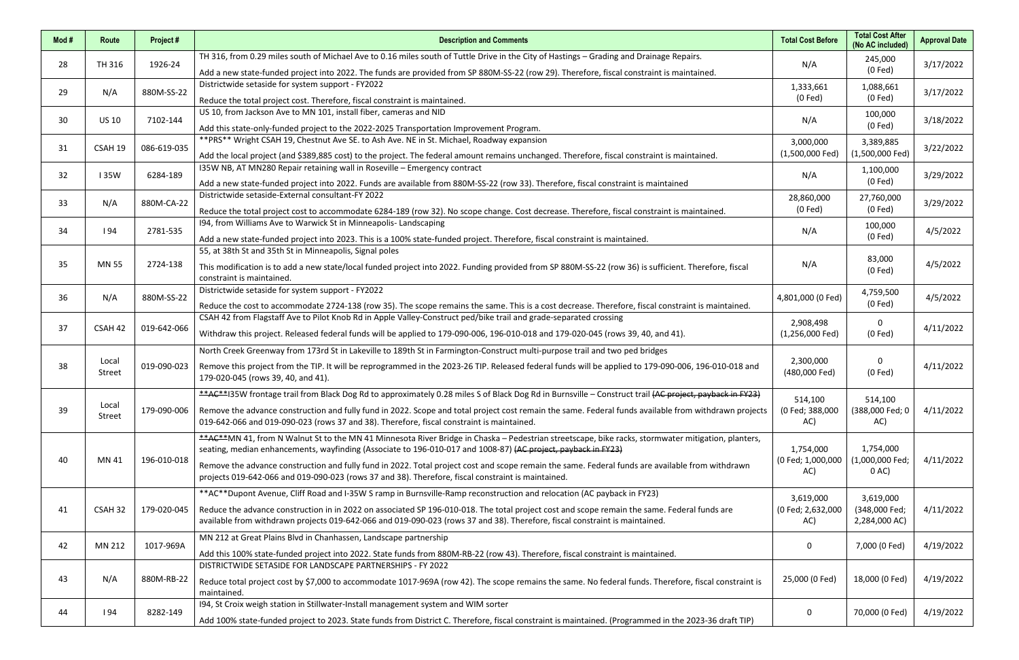| Mod# | Route        | Project#    | <b>Description and Comments</b>                                                                                                                         | <b>Total Cost Before</b>   | <b>Total Cost After</b><br>(No AC included) | <b>Approval Date</b>                                                                                                                                                                         |
|------|--------------|-------------|---------------------------------------------------------------------------------------------------------------------------------------------------------|----------------------------|---------------------------------------------|----------------------------------------------------------------------------------------------------------------------------------------------------------------------------------------------|
| 28   | TH 316       | 1926-24     | TH 316, from 0.29 miles south of Michael Ave to 0.16 miles south of Tuttle Drive in the City of Hastings - Grading and Drainage Repairs.                | N/A                        | 245,000                                     |                                                                                                                                                                                              |
|      |              |             | Add a new state-funded project into 2022. The funds are provided from SP 880M-SS-22 (row 29). Therefore, fiscal constraint is maintained.               |                            | $(0$ Fed $)$                                |                                                                                                                                                                                              |
| 29   | N/A          | 880M-SS-22  | Districtwide setaside for system support - FY2022                                                                                                       | 1,333,661                  | 1,088,661                                   |                                                                                                                                                                                              |
|      |              |             | Reduce the total project cost. Therefore, fiscal constraint is maintained.                                                                              | $(0$ Fed $)$               | $(0$ Fed $)$                                |                                                                                                                                                                                              |
| 30   | <b>US 10</b> | 7102-144    | US 10, from Jackson Ave to MN 101, install fiber, cameras and NID                                                                                       | N/A                        | 100,000                                     |                                                                                                                                                                                              |
|      |              |             | Add this state-only-funded project to the 2022-2025 Transportation Improvement Program.                                                                 |                            | $(0$ Fed $)$                                |                                                                                                                                                                                              |
| 31   | CSAH 19      | 086-619-035 | ** PRS** Wright CSAH 19, Chestnut Ave SE. to Ash Ave. NE in St. Michael, Roadway expansion                                                              | 3,000,000                  | 3,389,885                                   |                                                                                                                                                                                              |
|      |              |             | Add the local project (and \$389,885 cost) to the project. The federal amount remains unchanged. Therefore, fiscal constraint is maintained.            | $(1,500,000$ Fed)          | (1,500,000 Fed)                             |                                                                                                                                                                                              |
| 32   | <b>135W</b>  | 6284-189    | I35W NB, AT MN280 Repair retaining wall in Roseville - Emergency contract                                                                               | N/A                        | 1,100,000                                   |                                                                                                                                                                                              |
|      |              |             | Add a new state-funded project into 2022. Funds are available from 880M-SS-22 (row 33). Therefore, fiscal constraint is maintained                      |                            | $(0$ Fed $)$                                | 3/17/2022<br>3/17/2022<br>3/18/2022<br>3/22/2022<br>3/29/2022<br>3/29/2022<br>4/5/2022<br>4/5/2022<br>4/5/2022<br>4/11/2022<br>4/11/2022<br>4/11/2022<br>4/11/2022<br>4/11/2022<br>4/19/2022 |
|      |              |             | Districtwide setaside-External consultant-FY 2022                                                                                                       | 28,860,000                 | 27,760,000                                  |                                                                                                                                                                                              |
| 33   | N/A          | 880M-CA-22  | Reduce the total project cost to accommodate 6284-189 (row 32). No scope change. Cost decrease. Therefore, fiscal constraint is maintained.             | $(0$ Fed $)$               | $(0$ Fed $)$                                |                                                                                                                                                                                              |
|      |              |             | 194, from Williams Ave to Warwick St in Minneapolis-Landscaping                                                                                         |                            | 100,000                                     |                                                                                                                                                                                              |
| 34   | 194          | 2781-535    | Add a new state-funded project into 2023. This is a 100% state-funded project. Therefore, fiscal constraint is maintained.                              | N/A                        | $(0$ Fed $)$                                |                                                                                                                                                                                              |
|      |              |             | 55, at 38th St and 35th St in Minneapolis, Signal poles                                                                                                 |                            |                                             |                                                                                                                                                                                              |
| 35   | <b>MN 55</b> | 2724-138    | This modification is to add a new state/local funded project into 2022. Funding provided from SP 880M-SS-22 (row 36) is sufficient. Therefore, fiscal   | N/A                        | 83,000<br>$(0$ Fed $)$                      |                                                                                                                                                                                              |
|      |              |             | constraint is maintained.                                                                                                                               |                            |                                             |                                                                                                                                                                                              |
| 36   | N/A          | 880M-SS-22  | Districtwide setaside for system support - FY2022                                                                                                       | 4,801,000 (0 Fed)          | 4,759,500                                   |                                                                                                                                                                                              |
|      |              |             | Reduce the cost to accommodate 2724-138 (row 35). The scope remains the same. This is a cost decrease. Therefore, fiscal constraint is maintained.      |                            | $(0$ Fed $)$<br>$\mathbf 0$                 |                                                                                                                                                                                              |
| 37   |              |             | CSAH 42 from Flagstaff Ave to Pilot Knob Rd in Apple Valley-Construct ped/bike trail and grade-separated crossing                                       | 2,908,498                  |                                             |                                                                                                                                                                                              |
|      | CSAH 42      | 019-642-066 | Withdraw this project. Released federal funds will be applied to 179-090-006, 196-010-018 and 179-020-045 (rows 39, 40, and 41).                        | $(1,256,000$ Fed)          | $(0$ Fed $)$                                |                                                                                                                                                                                              |
|      |              |             | North Creek Greenway from 173rd St in Lakeville to 189th St in Farmington-Construct multi-purpose trail and two ped bridges                             |                            | $\mathbf 0$                                 |                                                                                                                                                                                              |
| 38   | Local        | 019-090-023 | Remove this project from the TIP. It will be reprogrammed in the 2023-26 TIP. Released federal funds will be applied to 179-090-006, 196-010-018 and    | 2,300,000                  |                                             |                                                                                                                                                                                              |
|      | Street       |             | 179-020-045 (rows 39, 40, and 41).                                                                                                                      | (480,000 Fed)              | $(0$ Fed $)$                                |                                                                                                                                                                                              |
|      |              |             | **AC**I35W frontage trail from Black Dog Rd to approximately 0.28 miles S of Black Dog Rd in Burnsville - Construct trail (AC project, payback in FY23) |                            |                                             |                                                                                                                                                                                              |
| 39   | Local        | 179-090-006 | Remove the advance construction and fully fund in 2022. Scope and total project cost remain the same. Federal funds available from withdrawn projects   | 514,100<br>(0 Fed; 388,000 | 514,100<br>(388,000 Fed; 0                  |                                                                                                                                                                                              |
|      | Street       |             | 019-642-066 and 019-090-023 (rows 37 and 38). Therefore, fiscal constraint is maintained.                                                               | AC)                        | AC)                                         |                                                                                                                                                                                              |
|      |              |             | **AC**MN 41, from N Walnut St to the MN 41 Minnesota River Bridge in Chaska - Pedestrian streetscape, bike racks, stormwater mitigation, planters,      |                            |                                             |                                                                                                                                                                                              |
|      |              |             | seating, median enhancements, wayfinding (Associate to 196-010-017 and 1008-87) (AC project, payback in FY23)                                           | 1,754,000                  | 1,754,000                                   |                                                                                                                                                                                              |
| 40   | MN 41        | 196-010-018 | Remove the advance construction and fully fund in 2022. Total project cost and scope remain the same. Federal funds are available from withdrawn        | (0 Fed; 1,000,000          | (1,000,000 Fed;                             |                                                                                                                                                                                              |
|      |              |             | projects 019-642-066 and 019-090-023 (rows 37 and 38). Therefore, fiscal constraint is maintained.                                                      | AC)                        | $0$ AC)                                     |                                                                                                                                                                                              |
|      |              |             | **AC**Dupont Avenue, Cliff Road and I-35W S ramp in Burnsville-Ramp reconstruction and relocation (AC payback in FY23)                                  | 3,619,000                  | 3,619,000                                   |                                                                                                                                                                                              |
| 41   | CSAH 32      | 179-020-045 | Reduce the advance construction in in 2022 on associated SP 196-010-018. The total project cost and scope remain the same. Federal funds are            | (0 Fed; 2,632,000          | (348,000 Fed;                               |                                                                                                                                                                                              |
|      |              |             | available from withdrawn projects 019-642-066 and 019-090-023 (rows 37 and 38). Therefore, fiscal constraint is maintained.                             | AC)                        | 2,284,000 AC)                               |                                                                                                                                                                                              |
|      |              |             | MN 212 at Great Plains Blvd in Chanhassen, Landscape partnership                                                                                        |                            |                                             |                                                                                                                                                                                              |
| 42   | MN 212       | 1017-969A   | Add this 100% state-funded project into 2022. State funds from 880M-RB-22 (row 43). Therefore, fiscal constraint is maintained.                         | 0                          | 7,000 (0 Fed)                               |                                                                                                                                                                                              |
|      |              |             | DISTRICTWIDE SETASIDE FOR LANDSCAPE PARTNERSHIPS - FY 2022                                                                                              |                            |                                             |                                                                                                                                                                                              |
| 43   | N/A          | 880M-RB-22  | Reduce total project cost by \$7,000 to accommodate 1017-969A (row 42). The scope remains the same. No federal funds. Therefore, fiscal constraint is   | 25,000 (0 Fed)             | 18,000 (0 Fed)                              | 4/19/2022                                                                                                                                                                                    |
|      |              |             | maintained.                                                                                                                                             |                            |                                             |                                                                                                                                                                                              |
|      |              | 8282-149    | 194, St Croix weigh station in Stillwater-Install management system and WIM sorter                                                                      |                            | 70,000 (0 Fed)                              | 4/19/2022                                                                                                                                                                                    |
| 44   | <b>194</b>   |             | Add 100% state-funded project to 2023. State funds from District C. Therefore, fiscal constraint is maintained. (Programmed in the 2023-36 draft TIP)   | 0                          |                                             |                                                                                                                                                                                              |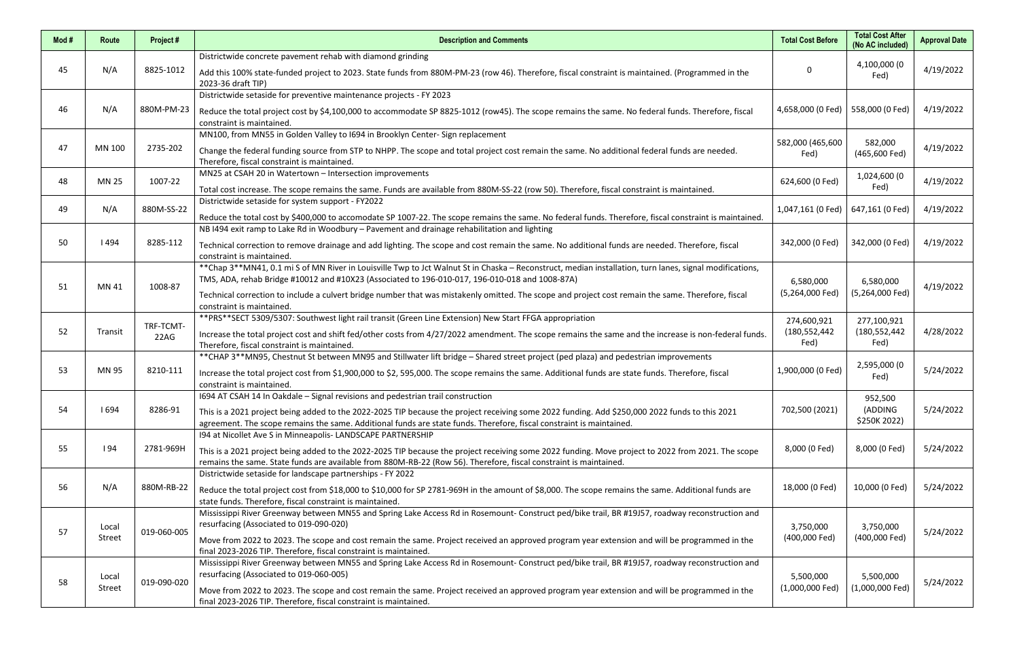| Mod# | Route        | Project#    | <b>Description and Comments</b>                                                                                                                                                                             | <b>Total Cost Before</b>   | <b>Total Cost After</b><br>(No AC included) | <b>Approval Date</b> |
|------|--------------|-------------|-------------------------------------------------------------------------------------------------------------------------------------------------------------------------------------------------------------|----------------------------|---------------------------------------------|----------------------|
|      | N/A          |             | Districtwide concrete pavement rehab with diamond grinding                                                                                                                                                  |                            | 4,100,000 (0<br>Fed)                        | 4/19/2022            |
| 45   |              | 8825-1012   | Add this 100% state-funded project to 2023. State funds from 880M-PM-23 (row 46). Therefore, fiscal constraint is maintained. (Programmed in the<br>2023-36 draft TIP)                                      | 0                          |                                             |                      |
|      |              |             | Districtwide setaside for preventive maintenance projects - FY 2023                                                                                                                                         |                            |                                             |                      |
| 46   | N/A          | 880M-PM-23  | Reduce the total project cost by \$4,100,000 to accommodate SP 8825-1012 (row45). The scope remains the same. No federal funds. Therefore, fiscal<br>constraint is maintained.                              | 4,658,000 (0 Fed)          | 558,000 (0 Fed)                             | 4/19/2022            |
|      |              |             | MN100, from MN55 in Golden Valley to 1694 in Brooklyn Center-Sign replacement                                                                                                                               |                            | 582,000                                     |                      |
| 47   | MN 100       | 2735-202    | Change the federal funding source from STP to NHPP. The scope and total project cost remain the same. No additional federal funds are needed.<br>Therefore, fiscal constraint is maintained.                | 582,000 (465,600<br>Fed)   | (465,600 Fed)                               | 4/19/2022            |
| 48   | <b>MN 25</b> | 1007-22     | MN25 at CSAH 20 in Watertown - Intersection improvements                                                                                                                                                    | 624,600 (0 Fed)            | 1,024,600 (0                                | 4/19/2022            |
|      |              |             | Total cost increase. The scope remains the same. Funds are available from 880M-SS-22 (row 50). Therefore, fiscal constraint is maintained.                                                                  |                            | Fed)                                        |                      |
| 49   | N/A          | 880M-SS-22  | Districtwide setaside for system support - FY2022                                                                                                                                                           | 1,047,161 (0 Fed)          | 647,161 (0 Fed)                             | 4/19/2022            |
|      |              |             | Reduce the total cost by \$400,000 to accomodate SP 1007-22. The scope remains the same. No federal funds. Therefore, fiscal constraint is maintained.                                                      |                            |                                             |                      |
|      |              |             | NB I494 exit ramp to Lake Rd in Woodbury - Pavement and drainage rehabilitation and lighting                                                                                                                |                            |                                             |                      |
| 50   | 494          | 8285-112    | Technical correction to remove drainage and add lighting. The scope and cost remain the same. No additional funds are needed. Therefore, fiscal<br>constraint is maintained.                                | 342,000 (0 Fed)            | 342,000 (0 Fed)                             | 4/19/2022            |
| 51   |              |             | **Chap 3**MN41, 0.1 mi S of MN River in Louisville Twp to Jct Walnut St in Chaska - Reconstruct, median installation, turn lanes, signal modifications,                                                     |                            |                                             |                      |
|      | MN 41        | 1008-87     | TMS, ADA, rehab Bridge #10012 and #10X23 (Associated to 196-010-017, 196-010-018 and 1008-87A)                                                                                                              | 6,580,000                  | 6,580,000                                   | 4/19/2022            |
|      |              |             | Technical correction to include a culvert bridge number that was mistakenly omitted. The scope and project cost remain the same. Therefore, fiscal<br>constraint is maintained.                             | (5,264,000 Fed)            | (5,264,000 Fed)                             |                      |
|      |              |             | ** PRS**SECT 5309/5307: Southwest light rail transit (Green Line Extension) New Start FFGA appropriation                                                                                                    | 274,600,921                | 277,100,921                                 |                      |
| 52   | Transit      | TRF-TCMT-   | Increase the total project cost and shift fed/other costs from 4/27/2022 amendment. The scope remains the same and the increase is non-federal funds.                                                       | (180, 552, 442)            | (180, 552, 442)                             | 4/28/2022            |
|      |              | 22AG        | Therefore, fiscal constraint is maintained.                                                                                                                                                                 | Fed)                       | Fed)                                        |                      |
|      |              |             | ** CHAP 3** MN95, Chestnut St between MN95 and Stillwater lift bridge - Shared street project (ped plaza) and pedestrian improvements                                                                       |                            |                                             |                      |
| 53   | MN 95        | 8210-111    | Increase the total project cost from \$1,900,000 to \$2, 595,000. The scope remains the same. Additional funds are state funds. Therefore, fiscal                                                           | 1,900,000 (0 Fed)          | 2,595,000 (0<br>Fed)                        | 5/24/2022            |
|      |              |             | constraint is maintained.                                                                                                                                                                                   |                            |                                             |                      |
|      |              |             | 1694 AT CSAH 14 In Oakdale - Signal revisions and pedestrian trail construction                                                                                                                             |                            | 952,500                                     |                      |
| 54   | 1694         | 8286-91     | This is a 2021 project being added to the 2022-2025 TIP because the project receiving some 2022 funding. Add \$250,000 2022 funds to this 2021                                                              | 702,500 (2021)             | (ADDING<br>\$250K 2022)                     | 5/24/2022            |
|      |              |             | agreement. The scope remains the same. Additional funds are state funds. Therefore, fiscal constraint is maintained.                                                                                        |                            |                                             |                      |
|      |              |             | 194 at Nicollet Ave S in Minneapolis- LANDSCAPE PARTNERSHIP                                                                                                                                                 |                            |                                             |                      |
| 55   | 194          | 2781-969H   | This is a 2021 project being added to the 2022-2025 TIP because the project receiving some 2022 funding. Move project to 2022 from 2021. The scope                                                          | 8,000 (0 Fed)              | 8,000 (0 Fed)                               | 5/24/2022            |
|      |              |             | remains the same. State funds are available from 880M-RB-22 (Row 56). Therefore, fiscal constraint is maintained.<br>Districtwide setaside for landscape partnerships - FY 2022                             |                            |                                             |                      |
|      | N/A          |             |                                                                                                                                                                                                             |                            |                                             |                      |
| 56   |              | 880M-RB-22  | Reduce the total project cost from \$18,000 to \$10,000 for SP 2781-969H in the amount of \$8,000. The scope remains the same. Additional funds are                                                         | 18,000 (0 Fed)             | 10,000 (0 Fed)                              | 5/24/2022            |
|      |              |             | state funds. Therefore, fiscal constraint is maintained.<br>Mississippi River Greenway between MN55 and Spring Lake Access Rd in Rosemount- Construct ped/bike trail, BR #19J57, roadway reconstruction and |                            |                                             |                      |
| 57   | Local        |             | resurfacing (Associated to 019-090-020)                                                                                                                                                                     | 3,750,000<br>(400,000 Fed) | 3,750,000                                   |                      |
|      | Street       | 019-060-005 | Move from 2022 to 2023. The scope and cost remain the same. Project received an approved program year extension and will be programmed in the                                                               |                            | (400,000 Fed)                               | 5/24/2022            |
|      |              |             | final 2023-2026 TIP. Therefore, fiscal constraint is maintained.                                                                                                                                            |                            |                                             |                      |
|      |              |             | Mississippi River Greenway between MN55 and Spring Lake Access Rd in Rosemount- Construct ped/bike trail, BR #19J57, roadway reconstruction and                                                             |                            |                                             |                      |
| 58   | Local        | 019-090-020 | resurfacing (Associated to 019-060-005)                                                                                                                                                                     | 5,500,000                  | 5,500,000                                   | 5/24/2022            |
|      | Street       |             | Move from 2022 to 2023. The scope and cost remain the same. Project received an approved program year extension and will be programmed in the                                                               | (1,000,000 Fed)            | (1,000,000 Fed)                             |                      |
|      |              |             | final 2023-2026 TIP. Therefore, fiscal constraint is maintained.                                                                                                                                            |                            |                                             |                      |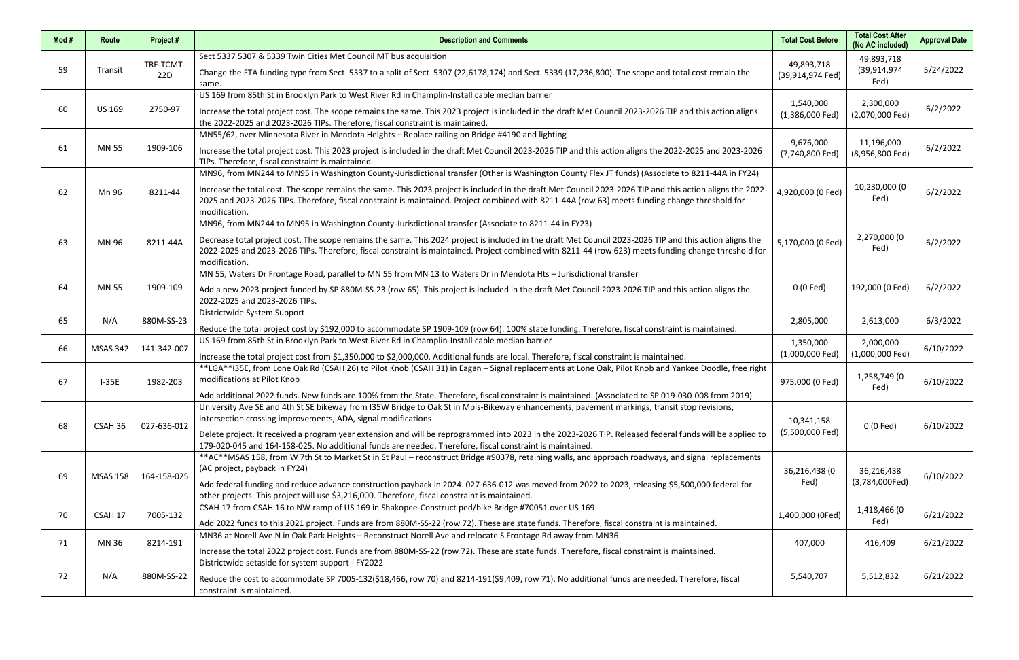| Mod# | Route           | Project#         | <b>Description and Comments</b>                                                                                                                                                                                                                                                                                                                                                                                                                                                     | <b>Total Cost Before</b>       | <b>Total Cost After</b><br>(No AC included) | <b>Approval Date</b> |
|------|-----------------|------------------|-------------------------------------------------------------------------------------------------------------------------------------------------------------------------------------------------------------------------------------------------------------------------------------------------------------------------------------------------------------------------------------------------------------------------------------------------------------------------------------|--------------------------------|---------------------------------------------|----------------------|
| 59   | Transit         | TRF-TCMT-<br>22D | Sect 5337 5307 & 5339 Twin Cities Met Council MT bus acquisition<br>Change the FTA funding type from Sect. 5337 to a split of Sect 5307 (22,6178,174) and Sect. 5339 (17,236,800). The scope and total cost remain the<br>same.                                                                                                                                                                                                                                                     | 49,893,718<br>(39,914,974 Fed) | 49,893,718<br>(39,914,974<br>Fed)           | 5/24/2022            |
| 60   | <b>US 169</b>   | 2750-97          | US 169 from 85th St in Brooklyn Park to West River Rd in Champlin-Install cable median barrier<br>Increase the total project cost. The scope remains the same. This 2023 project is included in the draft Met Council 2023-2026 TIP and this action aligns<br>the 2022-2025 and 2023-2026 TIPs. Therefore, fiscal constraint is maintained.                                                                                                                                         | 1,540,000<br>$(1,386,000$ Fed) | 2,300,000<br>(2,070,000 Fed)                | 6/2/2022             |
| 61   | <b>MN 55</b>    | 1909-106         | MN55/62, over Minnesota River in Mendota Heights - Replace railing on Bridge #4190 and lighting<br>Increase the total project cost. This 2023 project is included in the draft Met Council 2023-2026 TIP and this action aligns the 2022-2025 and 2023-2026<br>TIPs. Therefore, fiscal constraint is maintained.                                                                                                                                                                    | 9,676,000<br>(7,740,800 Fed)   | 11,196,000<br>(8,956,800 Fed)               | 6/2/2022             |
| 62   | Mn 96           | 8211-44          | MN96, from MN244 to MN95 in Washington County-Jurisdictional transfer (Other is Washington County Flex JT funds) (Associate to 8211-44A in FY24)<br>Increase the total cost. The scope remains the same. This 2023 project is included in the draft Met Council 2023-2026 TIP and this action aligns the 2022-<br>2025 and 2023-2026 TIPs. Therefore, fiscal constraint is maintained. Project combined with 8211-44A (row 63) meets funding change threshold for<br>modification.  | 4,920,000 (0 Fed)              | 10,230,000 (0<br>Fed)                       | 6/2/2022             |
| 63   | MN 96           | 8211-44A         | MN96, from MN244 to MN95 in Washington County-Jurisdictional transfer (Associate to 8211-44 in FY23)<br>Decrease total project cost. The scope remains the same. This 2024 project is included in the draft Met Council 2023-2026 TIP and this action aligns the<br>2022-2025 and 2023-2026 TIPs. Therefore, fiscal constraint is maintained. Project combined with 8211-44 (row 623) meets funding change threshold for<br>modification.                                           | 5,170,000 (0 Fed)              | 2,270,000 (0<br>Fed)                        | 6/2/2022             |
| 64   | <b>MN 55</b>    | 1909-109         | MN 55, Waters Dr Frontage Road, parallel to MN 55 from MN 13 to Waters Dr in Mendota Hts - Jurisdictional transfer<br>Add a new 2023 project funded by SP 880M-SS-23 (row 65). This project is included in the draft Met Council 2023-2026 TIP and this action aligns the<br>2022-2025 and 2023-2026 TIPs.                                                                                                                                                                          | 0 (0 Fed)                      | 192,000 (0 Fed)                             | 6/2/2022             |
| 65   | N/A             | 880M-SS-23       | Districtwide System Support<br>Reduce the total project cost by \$192,000 to accommodate SP 1909-109 (row 64). 100% state funding. Therefore, fiscal constraint is maintained.                                                                                                                                                                                                                                                                                                      | 2,805,000                      | 2,613,000                                   | 6/3/2022             |
| 66   | <b>MSAS 342</b> | 141-342-007      | US 169 from 85th St in Brooklyn Park to West River Rd in Champlin-Install cable median barrier<br>Increase the total project cost from \$1,350,000 to \$2,000,000. Additional funds are local. Therefore, fiscal constraint is maintained.                                                                                                                                                                                                                                          | 1,350,000<br>$(1,000,000$ Fed) | 2,000,000<br>$(1,000,000$ Fed)              | 6/10/2022            |
| 67   | $I-35E$         | 1982-203         | **LGA**I35E, from Lone Oak Rd (CSAH 26) to Pilot Knob (CSAH 31) in Eagan – Signal replacements at Lone Oak, Pilot Knob and Yankee Doodle, free right<br>modifications at Pilot Knob<br>Add additional 2022 funds. New funds are 100% from the State. Therefore, fiscal constraint is maintained. (Associated to SP 019-030-008 from 2019)                                                                                                                                           | 975,000 (0 Fed)                | 1,258,749 (0<br>Fed)                        | 6/10/2022            |
| 68   | CSAH 36         | 027-636-012      | University Ave SE and 4th St SE bikeway from I35W Bridge to Oak St in Mpls-Bikeway enhancements, pavement markings, transit stop revisions,<br>intersection crossing improvements, ADA, signal modifications<br>Delete project. It received a program year extension and will be reprogrammed into 2023 in the 2023-2026 TIP. Released federal funds will be applied to<br>179-020-045 and 164-158-025. No additional funds are needed. Therefore, fiscal constraint is maintained. | 10,341,158<br>(5,500,000 Fed)  | 0 (0 Fed)                                   | 6/10/2022            |
| 69   | MSAS 158        | 164-158-025      | ** AC** MSAS 158, from W 7th St to Market St in St Paul - reconstruct Bridge #90378, retaining walls, and approach roadways, and signal replacements<br>(AC project, payback in FY24)<br>Add federal funding and reduce advance construction payback in 2024. 027-636-012 was moved from 2022 to 2023, releasing \$5,500,000 federal for<br>other projects. This project will use \$3,216,000. Therefore, fiscal constraint is maintained.                                          | 36,216,438 (0<br>Fed)          | 36,216,438<br>(3,784,000Fed)                | 6/10/2022            |
| 70   | CSAH 17         | 7005-132         | CSAH 17 from CSAH 16 to NW ramp of US 169 in Shakopee-Construct ped/bike Bridge #70051 over US 169<br>Add 2022 funds to this 2021 project. Funds are from 880M-SS-22 (row 72). These are state funds. Therefore, fiscal constraint is maintained.                                                                                                                                                                                                                                   | 1,400,000 (0Fed)               | 1,418,466 (0<br>Fed)                        | 6/21/2022            |
| 71   | MN 36           | 8214-191         | MN36 at Norell Ave N in Oak Park Heights - Reconstruct Norell Ave and relocate S Frontage Rd away from MN36<br>Increase the total 2022 project cost. Funds are from 880M-SS-22 (row 72). These are state funds. Therefore, fiscal constraint is maintained.                                                                                                                                                                                                                         | 407,000                        | 416,409                                     | 6/21/2022            |
| 72   | N/A             | 880M-SS-22       | Districtwide setaside for system support - FY2022<br>Reduce the cost to accommodate SP 7005-132(\$18,466, row 70) and 8214-191(\$9,409, row 71). No additional funds are needed. Therefore, fiscal<br>constraint is maintained.                                                                                                                                                                                                                                                     | 5,540,707                      | 5,512,832                                   | 6/21/2022            |